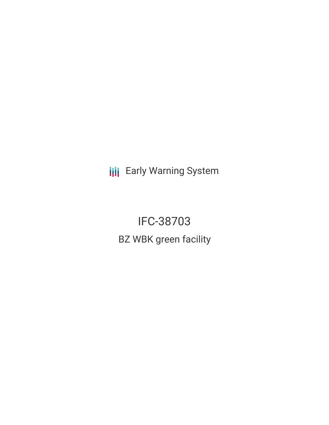**III** Early Warning System

IFC-38703 BZ WBK green facility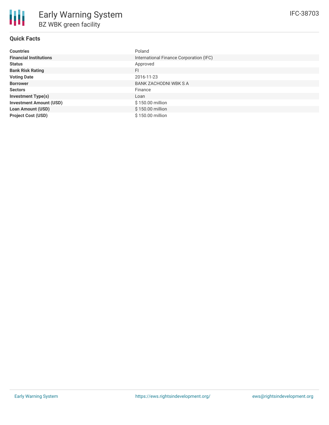## **Quick Facts**

| <b>Countries</b>               | Poland                                  |
|--------------------------------|-----------------------------------------|
| <b>Financial Institutions</b>  | International Finance Corporation (IFC) |
| <b>Status</b>                  | Approved                                |
| <b>Bank Risk Rating</b>        | FI                                      |
| <b>Voting Date</b>             | 2016-11-23                              |
| <b>Borrower</b>                | <b>BANK ZACHODNI WBK S A</b>            |
| <b>Sectors</b>                 | Finance                                 |
| <b>Investment Type(s)</b>      | Loan                                    |
| <b>Investment Amount (USD)</b> | \$150.00 million                        |
| <b>Loan Amount (USD)</b>       | \$150.00 million                        |
| <b>Project Cost (USD)</b>      | \$150,00 million                        |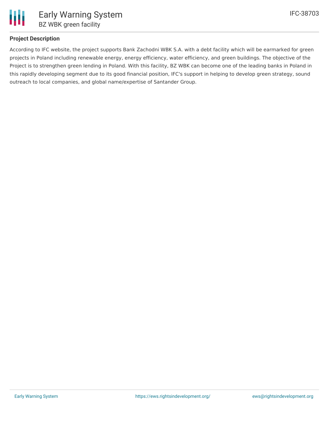

## **Project Description**

According to IFC website, the project supports Bank Zachodni WBK S.A. with a debt facility which will be earmarked for green projects in Poland including renewable energy, energy efficiency, water efficiency, and green buildings. The objective of the Project is to strengthen green lending in Poland. With this facility, BZ WBK can become one of the leading banks in Poland in this rapidly developing segment due to its good financial position, IFC's support in helping to develop green strategy, sound outreach to local companies, and global name/expertise of Santander Group.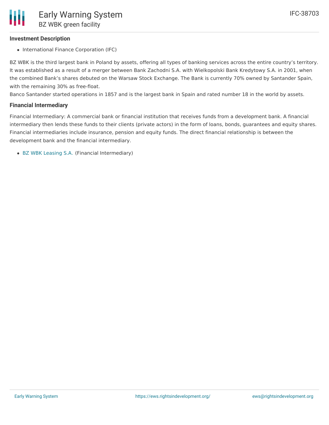#### **Investment Description**

• International Finance Corporation (IFC)

BZ WBK is the third largest bank in Poland by assets, offering all types of banking services across the entire country's territory. It was established as a result of a merger between Bank Zachodni S.A. with Wielkopolski Bank Kredytowy S.A. in 2001, when the combined Bank's shares debuted on the Warsaw Stock Exchange. The Bank is currently 70% owned by Santander Spain, with the remaining 30% as free-float.

Banco Santander started operations in 1857 and is the largest bank in Spain and rated number 18 in the world by assets.

#### **Financial Intermediary**

Financial Intermediary: A commercial bank or financial institution that receives funds from a development bank. A financial intermediary then lends these funds to their clients (private actors) in the form of loans, bonds, guarantees and equity shares. Financial intermediaries include insurance, pension and equity funds. The direct financial relationship is between the development bank and the financial intermediary.

BZ WBK [Leasing](file:///actor/845/) S.A. (Financial Intermediary)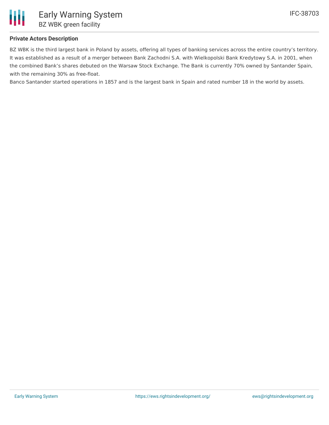

### **Private Actors Description**

BZ WBK is the third largest bank in Poland by assets, offering all types of banking services across the entire country's territory. It was established as a result of a merger between Bank Zachodni S.A. with Wielkopolski Bank Kredytowy S.A. in 2001, when the combined Bank's shares debuted on the Warsaw Stock Exchange. The Bank is currently 70% owned by Santander Spain, with the remaining 30% as free-float.

Banco Santander started operations in 1857 and is the largest bank in Spain and rated number 18 in the world by assets.